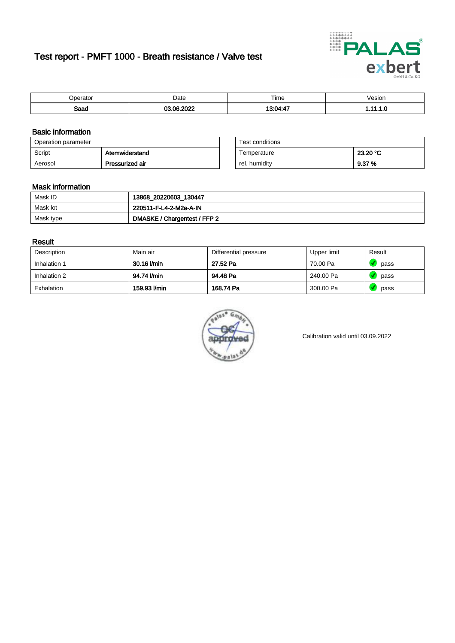# Test report - PMFT 1000 - Breath resistance / Valve test



| $n$ arata<br>аюн | Date  | $- \cdot$<br>Time    | esion/ |
|------------------|-------|----------------------|--------|
| Saad             | ----- | . <b>.</b><br>20 O.A | .      |

### Basic information

| Operation parameter |                 | Test conditions |          |
|---------------------|-----------------|-----------------|----------|
| Script              | Atemwiderstand  | Temperature     | 23.20 °C |
| Aerosol             | Pressurized air | rel. humidity   | 9.37 %   |

| Test conditions |          |
|-----------------|----------|
| Temperature     | 23.20 °C |
| rel. humidity   | 9.37%    |

#### Mask information

| Mask ID   | 13868_20220603_130447        |
|-----------|------------------------------|
| Mask lot  | 220511-F-L4-2-M2a-A-IN       |
| Mask type | DMASKE / Chargentest / FFP 2 |

#### Result

| Description  | Main air     | Differential pressure | Upper limit | Result |
|--------------|--------------|-----------------------|-------------|--------|
| Inhalation 1 | 30.16 l/min  | 27.52 Pa              | 70.00 Pa    | pass   |
| Inhalation 2 | 94.74 I/min  | 94.48 Pa              | 240.00 Pa   | pass   |
| Exhalation   | 159.93 l/min | 168.74 Pa             | 300.00 Pa   | pass   |



Calibration valid until 03.09.2022